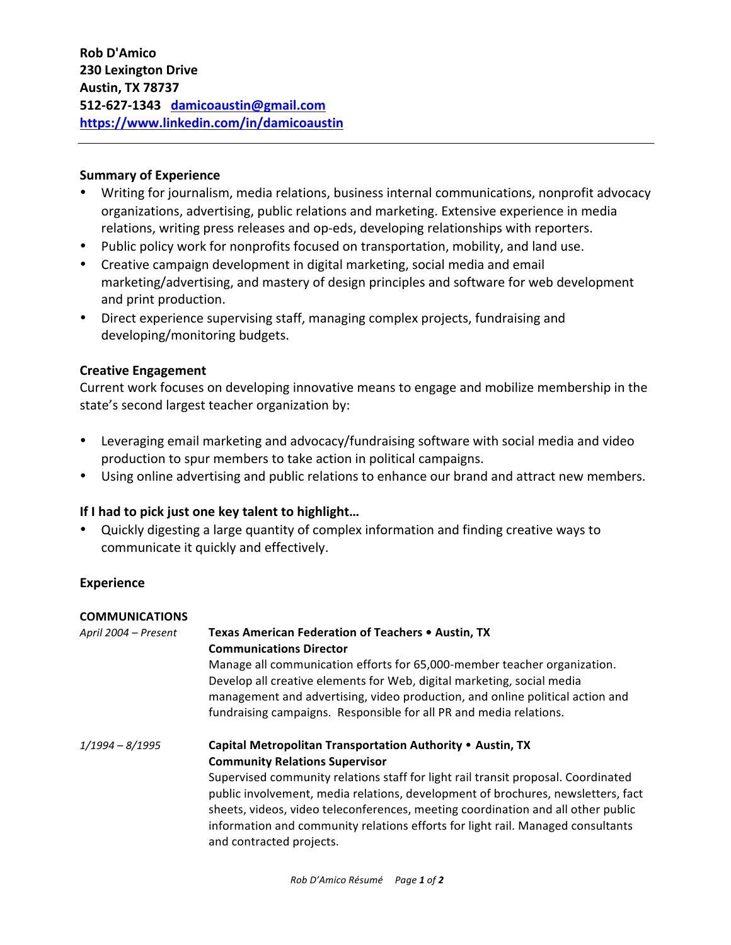# **Summary of Experience**

- Writing for journalism, media relations, business internal communications, nonprofit advocacy organizations, advertising, public relations and marketing. Extensive experience in media relations, writing press releases and op-eds, developing relationships with reporters.
- Public policy work for nonprofits focused on transportation, mobility, and land use.
- Creative campaign development in digital marketing, social media and email marketing/advertising, and mastery of design principles and software for web development and print production.
- Direct experience supervising staff, managing complex projects, fundraising and developing/monitoring budgets.

# **Creative Engagement**

Current work focuses on developing innovative means to engage and mobilize membership in the state's second largest teacher organization by:

- Leveraging email marketing and advocacy/fundraising software with social media and video production to spur members to take action in political campaigns.
- Using online advertising and public relations to enhance our brand and attract new members.

# **If I had to pick just one key talent to highlight...**

• Quickly digesting a large quantity of complex information and finding creative ways to communicate it quickly and effectively.

### **Experience**

| <b>COMMUNICATIONS</b> |                                                                                                                                                                                                                                                                                                                                                                                                                                                                                 |
|-----------------------|---------------------------------------------------------------------------------------------------------------------------------------------------------------------------------------------------------------------------------------------------------------------------------------------------------------------------------------------------------------------------------------------------------------------------------------------------------------------------------|
| April 2004 - Present  | Texas American Federation of Teachers • Austin, TX<br><b>Communications Director</b><br>Manage all communication efforts for 65,000-member teacher organization.<br>Develop all creative elements for Web, digital marketing, social media                                                                                                                                                                                                                                      |
|                       | management and advertising, video production, and online political action and<br>fundraising campaigns. Responsible for all PR and media relations.                                                                                                                                                                                                                                                                                                                             |
| $1/1994 - 8/1995$     | Capital Metropolitan Transportation Authority • Austin, TX<br><b>Community Relations Supervisor</b><br>Supervised community relations staff for light rail transit proposal. Coordinated<br>public involvement, media relations, development of brochures, newsletters, fact<br>sheets, videos, video teleconferences, meeting coordination and all other public<br>information and community relations efforts for light rail. Managed consultants<br>and contracted projects. |